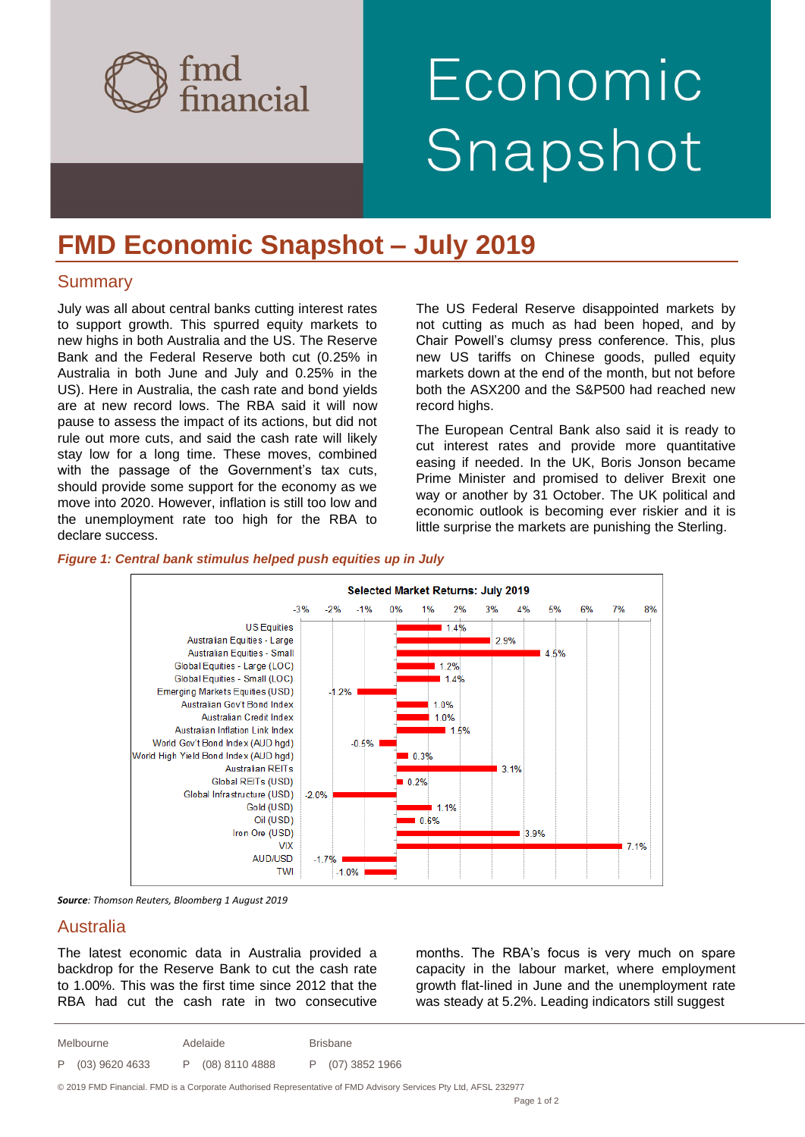

# Economic Snapshot

## **FMD Economic Snapshot – July 2019**

### **Summary**

July was all about central banks cutting interest rates to support growth. This spurred equity markets to new highs in both Australia and the US. The Reserve Bank and the Federal Reserve both cut (0.25% in Australia in both June and July and 0.25% in the US). Here in Australia, the cash rate and bond yields are at new record lows. The RBA said it will now pause to assess the impact of its actions, but did not rule out more cuts, and said the cash rate will likely stay low for a long time. These moves, combined with the passage of the Government's tax cuts, should provide some support for the economy as we move into 2020. However, inflation is still too low and the unemployment rate too high for the RBA to declare success.

The US Federal Reserve disappointed markets by not cutting as much as had been hoped, and by Chair Powell's clumsy press conference. This, plus new US tariffs on Chinese goods, pulled equity markets down at the end of the month, but not before both the ASX200 and the S&P500 had reached new record highs.

The European Central Bank also said it is ready to cut interest rates and provide more quantitative easing if needed. In the UK, Boris Jonson became Prime Minister and promised to deliver Brexit one way or another by 31 October. The UK political and economic outlook is becoming ever riskier and it is little surprise the markets are punishing the Sterling.

#### *Figure 1: Central bank stimulus helped push equities up in July*



*Source: Thomson Reuters, Bloomberg 1 August 2019*

### Australia

The latest economic data in Australia provided a backdrop for the Reserve Bank to cut the cash rate to 1.00%. This was the first time since 2012 that the RBA had cut the cash rate in two consecutive

months. The RBA's focus is very much on spare capacity in the labour market, where employment growth flat-lined in June and the unemployment rate was steady at 5.2%. Leading indicators still suggest

| Melbourne |                  | Adelaide |                  | <b>Brisbane</b> |                  |
|-----------|------------------|----------|------------------|-----------------|------------------|
|           | P (03) 9620 4633 |          | P (08) 8110 4888 |                 | P (07) 3852 1966 |

© 2019 FMD Financial. FMD is a Corporate Authorised Representative of FMD Advisory Services Pty Ltd, AFSL 232977